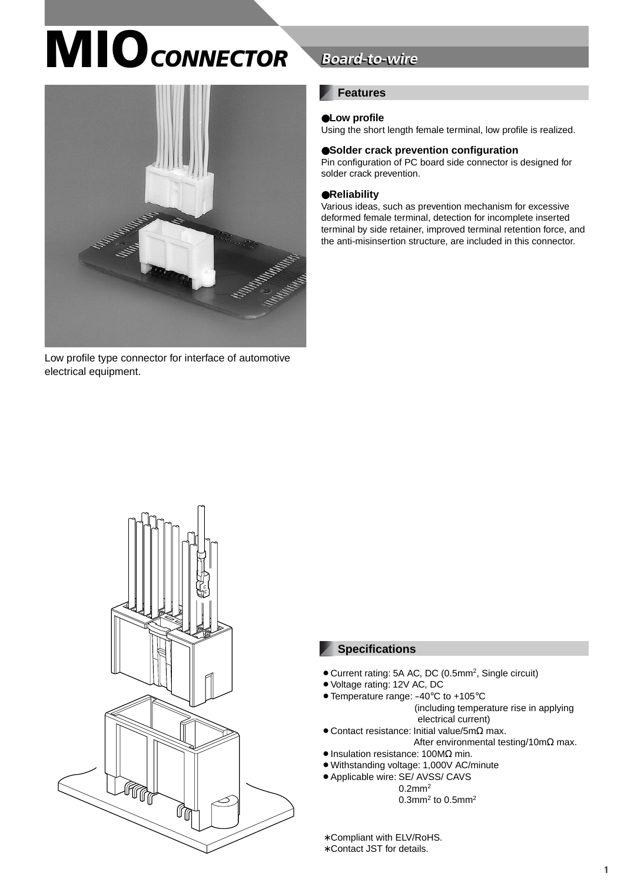# **MIO** CONNECTOR



Low profile type connector for interface of automotive electrical equipment.

# **Board-to-wire**

### **Features**

### ●**Low profile**

Using the short length female terminal, low profile is realized.

### ●**Solder crack prevention configuration**

Pin configuration of PC board side connector is designed for solder crack prevention.

#### ●**Reliability**

Various ideas, such as prevention mechanism for excessive deformed female terminal, detection for incomplete inserted terminal by side retainer, improved terminal retention force, and the anti-misinsertion structure, are included in this connector.



### **Specifications**

- Current rating: 5A AC, DC (0.5mm<sup>2</sup>, Single circuit)
- Voltage rating: 12V AC, DC
- Temperature range: -40°C to +105°C
	- (including temperature rise in applying electrical current)
- $\bullet$  Contact resistance: Initial value/5m $\Omega$  max.
	- After environmental testing/10mΩ max.
- $\bullet$  Insulation resistance: 100M $\Omega$  min.
- Withstanding voltage: 1,000V AC/minute
- ¡Applicable wire: SE/ AVSS/ CAVS
	- 0.2mm2  $0.3$ mm<sup>2</sup> to  $0.5$ mm<sup>2</sup>

∗ Compliant with ELV/RoHS.

∗ Contact JST for details.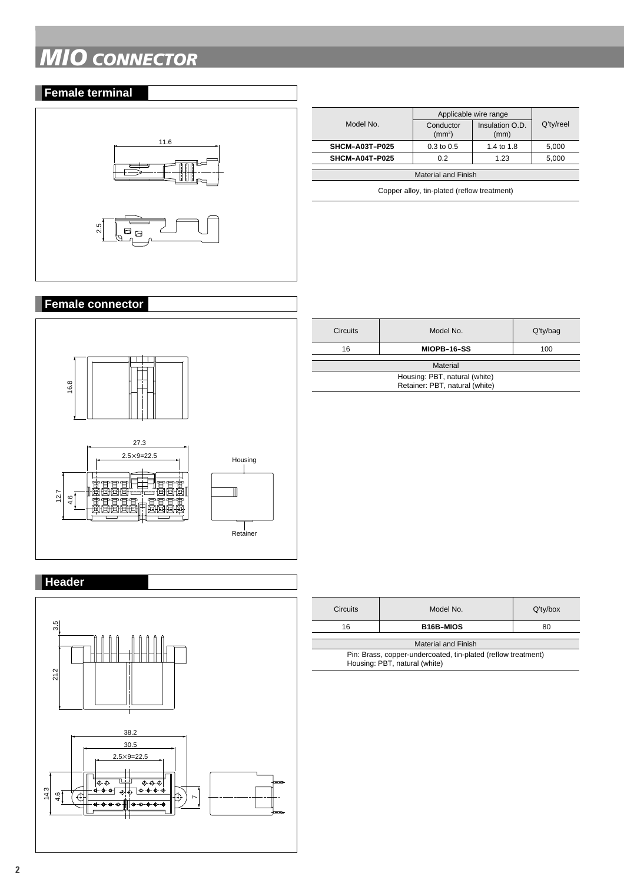# *MIO CONNECTOR*

### **Female terminal**



|                            | Applicable wire range           |                         |           |  |  |  |
|----------------------------|---------------------------------|-------------------------|-----------|--|--|--|
| Model No.                  | Conductor<br>(mm <sup>2</sup> ) | Insulation O.D.<br>(mm) | Q'ty/reel |  |  |  |
| SHCM-A03T-P025             | $0.3$ to $0.5$                  | 1.4 to 1.8              | 5,000     |  |  |  |
| SHCM-A04T-P025             | 0.2                             | 1.23                    | 5.000     |  |  |  |
| <b>Material and Finish</b> |                                 |                         |           |  |  |  |

Copper alloy, tin-plated (reflow treatment)

## **Female connector**



| <b>Circuits</b>                                                 | Model No.   | $Q'$ ty/bag |  |  |
|-----------------------------------------------------------------|-------------|-------------|--|--|
| 16                                                              | MIOPB-16-SS | 100         |  |  |
| Material                                                        |             |             |  |  |
| Housing: PBT, natural (white)<br>Retainer: PBT, natural (white) |             |             |  |  |

## **Header**



| Model No.                                                     | $Q'$ ty/box |  |  |  |  |
|---------------------------------------------------------------|-------------|--|--|--|--|
| <b>B16B-MIOS</b>                                              | 80          |  |  |  |  |
|                                                               |             |  |  |  |  |
| <b>Material and Finish</b>                                    |             |  |  |  |  |
| Pin: Brass, copper-undercoated, tin-plated (reflow treatment) |             |  |  |  |  |
| Housing: PBT, natural (white)                                 |             |  |  |  |  |
|                                                               |             |  |  |  |  |
|                                                               |             |  |  |  |  |